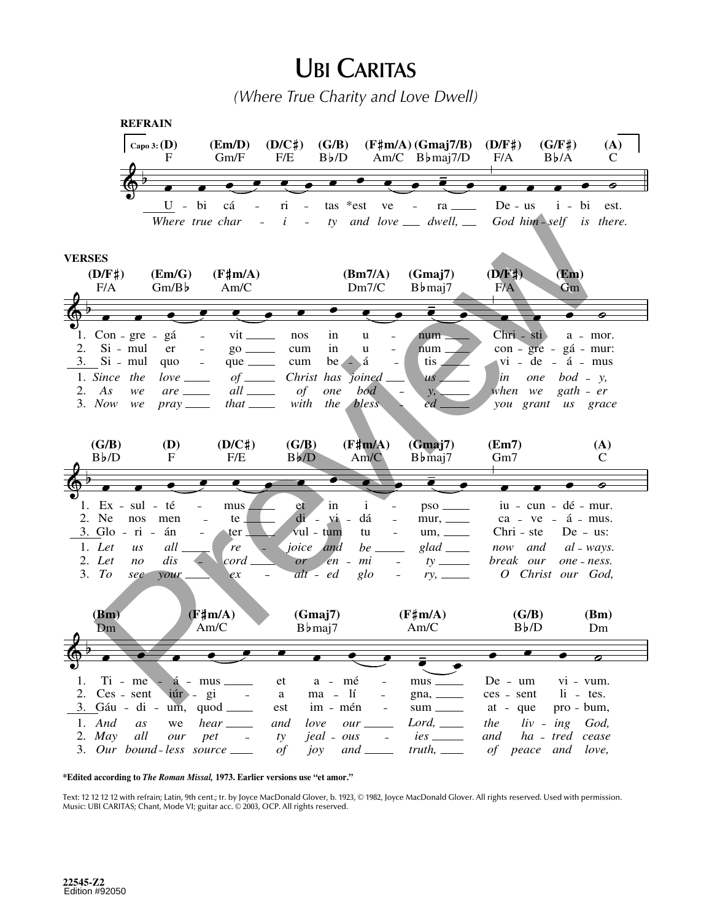## **UBI CARITAS**

(Where True Charity and Love Dwell)



\*Edited according to The Roman Missal, 1973. Earlier versions use "et amor."

Text: 12 12 12 12 with refrain; Latin, 9th cent.; tr. by Joyce MacDonald Glover, b. 1923, © 1982, Joyce MacDonald Glover. All rights reserved. Used with permission. Music: UBI CARITAS; Chant, Mode VI; guitar acc. 0 2003, OCP. All rights reserved.